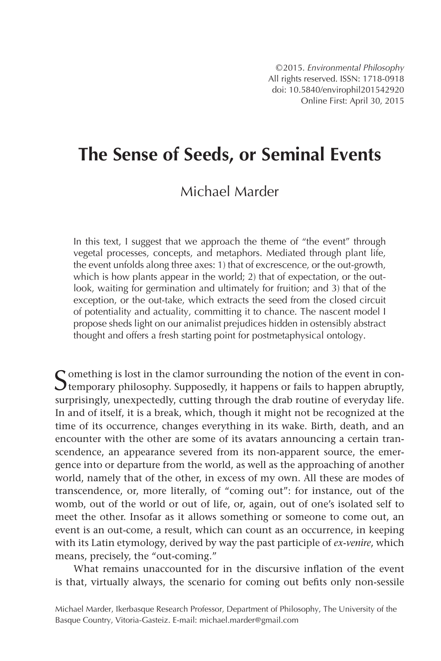© 2015. *Environmental Philosophy* All rights reserved. ISSN: 1718-0918 doi: 10.5840/envirophil201542920 Online First: April 30, 2015

# **The Sense of Seeds, or Seminal Events**

## Michael Marder

In this text, I suggest that we approach the theme of "the event" through vegetal processes, concepts, and metaphors. Mediated through plant life, the event unfolds along three axes: 1) that of excrescence, or the out-growth, which is how plants appear in the world; 2) that of expectation, or the outlook, waiting for germination and ultimately for fruition; and 3) that of the exception, or the out-take, which extracts the seed from the closed circuit of potentiality and actuality, committing it to chance. The nascent model I propose sheds light on our animalist prejudices hidden in ostensibly abstract thought and offers a fresh starting point for postmetaphysical ontology.

 $\Gamma$  omething is lost in the clamor surrounding the notion of the event in con-**O** temporary philosophy. Supposedly, it happens or fails to happen abruptly, surprisingly, unexpectedly, cutting through the drab routine of everyday life. In and of itself, it is a break, which, though it might not be recognized at the time of its occurrence, changes everything in its wake. Birth, death, and an encounter with the other are some of its avatars announcing a certain transcendence, an appearance severed from its non-apparent source, the emergence into or departure from the world, as well as the approaching of another world, namely that of the other, in excess of my own. All these are modes of transcendence, or, more literally, of "coming out": for instance, out of the womb, out of the world or out of life, or, again, out of one's isolated self to meet the other. Insofar as it allows something or someone to come out, an event is an out-come, a result, which can count as an occurrence, in keeping with its Latin etymology, derived by way the past participle of *ex-venire*, which means, precisely, the "out-coming."

What remains unaccounted for in the discursive inflation of the event is that, virtually always, the scenario for coming out befits only non-sessile

Michael Marder, Ikerbasque Research Professor, Department of Philosophy, The University of the Basque Country, Vitoria-Gasteiz. E-mail: michael.marder@gmail.com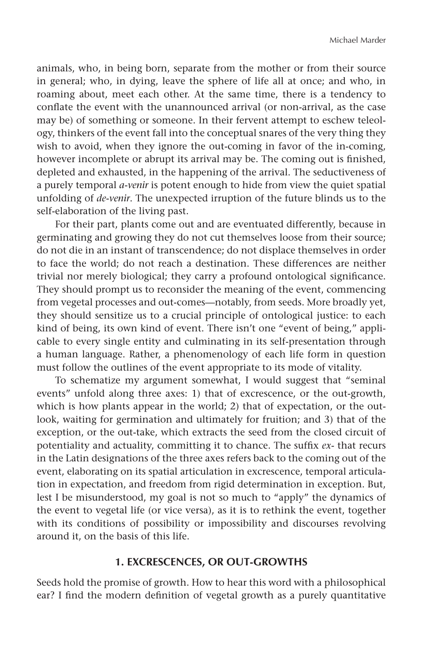animals, who, in being born, separate from the mother or from their source in general; who, in dying, leave the sphere of life all at once; and who, in roaming about, meet each other. At the same time, there is a tendency to conflate the event with the unannounced arrival (or non-arrival, as the case may be) of something or someone. In their fervent attempt to eschew teleology, thinkers of the event fall into the conceptual snares of the very thing they wish to avoid, when they ignore the out-coming in favor of the in-coming, however incomplete or abrupt its arrival may be. The coming out is finished, depleted and exhausted, in the happening of the arrival. The seductiveness of a purely temporal *a-venir* is potent enough to hide from view the quiet spatial unfolding of *de-venir*. The unexpected irruption of the future blinds us to the self-elaboration of the living past.

For their part, plants come out and are eventuated differently, because in germinating and growing they do not cut themselves loose from their source; do not die in an instant of transcendence; do not displace themselves in order to face the world; do not reach a destination. These differences are neither trivial nor merely biological; they carry a profound ontological significance. They should prompt us to reconsider the meaning of the event, commencing from vegetal processes and out-comes—notably, from seeds. More broadly yet, they should sensitize us to a crucial principle of ontological justice: to each kind of being, its own kind of event. There isn't one "event of being," applicable to every single entity and culminating in its self-presentation through a human language. Rather, a phenomenology of each life form in question must follow the outlines of the event appropriate to its mode of vitality.

To schematize my argument somewhat, I would suggest that "seminal events" unfold along three axes: 1) that of excrescence, or the out-growth, which is how plants appear in the world; 2) that of expectation, or the outlook, waiting for germination and ultimately for fruition; and 3) that of the exception, or the out-take, which extracts the seed from the closed circuit of potentiality and actuality, committing it to chance. The suffix *ex-* that recurs in the Latin designations of the three axes refers back to the coming out of the event, elaborating on its spatial articulation in excrescence, temporal articulation in expectation, and freedom from rigid determination in exception. But, lest I be misunderstood, my goal is not so much to "apply" the dynamics of the event to vegetal life (or vice versa), as it is to rethink the event, together with its conditions of possibility or impossibility and discourses revolving around it, on the basis of this life.

#### **1. EXCRESCENCES, OR OUT-GROWTHS**

Seeds hold the promise of growth. How to hear this word with a philosophical ear? I find the modern definition of vegetal growth as a purely quantitative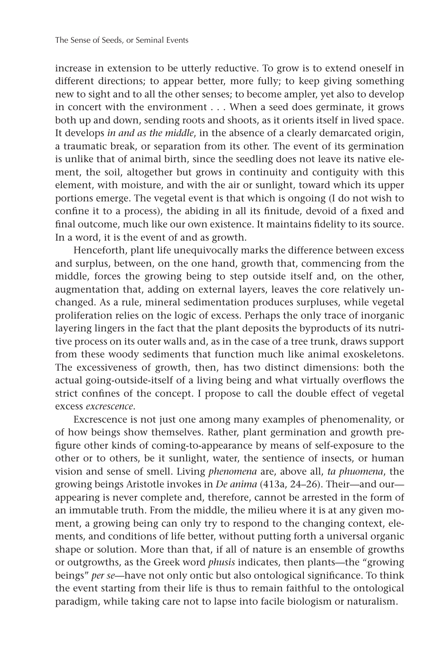increase in extension to be utterly reductive. To grow is to extend oneself in different directions; to appear better, more fully; to keep giving something new to sight and to all the other senses; to become ampler, yet also to develop in concert with the environment . . . When a seed does germinate, it grows both up and down, sending roots and shoots, as it orients itself in lived space. It develops *in and as the middle*, in the absence of a clearly demarcated origin, a traumatic break, or separation from its other. The event of its germination is unlike that of animal birth, since the seedling does not leave its native element, the soil, altogether but grows in continuity and contiguity with this element, with moisture, and with the air or sunlight, toward which its upper portions emerge. The vegetal event is that which is ongoing (I do not wish to confine it to a process), the abiding in all its finitude, devoid of a fixed and final outcome, much like our own existence. It maintains fidelity to its source. In a word, it is the event of and as growth.

Henceforth, plant life unequivocally marks the difference between excess and surplus, between, on the one hand, growth that, commencing from the middle, forces the growing being to step outside itself and, on the other, augmentation that, adding on external layers, leaves the core relatively unchanged. As a rule, mineral sedimentation produces surpluses, while vegetal proliferation relies on the logic of excess. Perhaps the only trace of inorganic layering lingers in the fact that the plant deposits the byproducts of its nutritive process on its outer walls and, as in the case of a tree trunk, draws support from these woody sediments that function much like animal exoskeletons. The excessiveness of growth, then, has two distinct dimensions: both the actual going-outside-itself of a living being and what virtually overflows the strict confines of the concept. I propose to call the double effect of vegetal excess *excrescence*.

Excrescence is not just one among many examples of phenomenality, or of how beings show themselves. Rather, plant germination and growth prefigure other kinds of coming-to-appearance by means of self-exposure to the other or to others, be it sunlight, water, the sentience of insects, or human vision and sense of smell. Living *phenomena* are, above all, *ta phuomena*, the growing beings Aristotle invokes in *De anima* (413a, 24–26). Their—and our appearing is never complete and, therefore, cannot be arrested in the form of an immutable truth. From the middle, the milieu where it is at any given moment, a growing being can only try to respond to the changing context, elements, and conditions of life better, without putting forth a universal organic shape or solution. More than that, if all of nature is an ensemble of growths or outgrowths, as the Greek word *phusis* indicates, then plants—the "growing beings" *per se*—have not only ontic but also ontological significance. To think the event starting from their life is thus to remain faithful to the ontological paradigm, while taking care not to lapse into facile biologism or naturalism.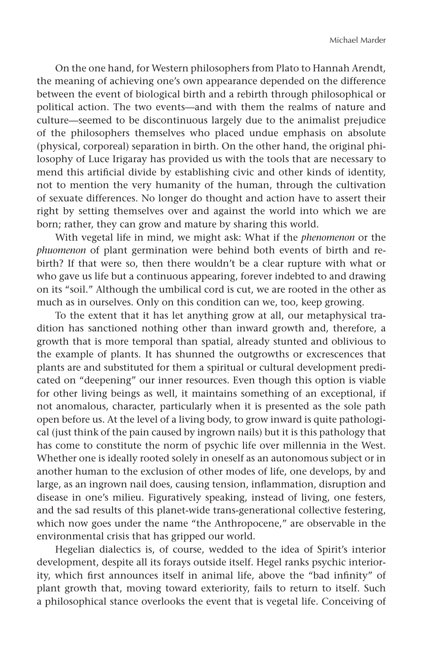On the one hand, for Western philosophers from Plato to Hannah Arendt, the meaning of achieving one's own appearance depended on the difference between the event of biological birth and a rebirth through philosophical or political action. The two events—and with them the realms of nature and culture—seemed to be discontinuous largely due to the animalist prejudice of the philosophers themselves who placed undue emphasis on absolute (physical, corporeal) separation in birth. On the other hand, the original philosophy of Luce Irigaray has provided us with the tools that are necessary to mend this artificial divide by establishing civic and other kinds of identity, not to mention the very humanity of the human, through the cultivation of sexuate differences. No longer do thought and action have to assert their right by setting themselves over and against the world into which we are born; rather, they can grow and mature by sharing this world.

With vegetal life in mind, we might ask: What if the *phenomenon* or the *phuomenon* of plant germination were behind both events of birth and rebirth? If that were so, then there wouldn't be a clear rupture with what or who gave us life but a continuous appearing, forever indebted to and drawing on its "soil." Although the umbilical cord is cut, we are rooted in the other as much as in ourselves. Only on this condition can we, too, keep growing.

To the extent that it has let anything grow at all, our metaphysical tradition has sanctioned nothing other than inward growth and, therefore, a growth that is more temporal than spatial, already stunted and oblivious to the example of plants. It has shunned the outgrowths or excrescences that plants are and substituted for them a spiritual or cultural development predicated on "deepening" our inner resources. Even though this option is viable for other living beings as well, it maintains something of an exceptional, if not anomalous, character, particularly when it is presented as the sole path open before us. At the level of a living body, to grow inward is quite pathological (just think of the pain caused by ingrown nails) but it is this pathology that has come to constitute the norm of psychic life over millennia in the West. Whether one is ideally rooted solely in oneself as an autonomous subject or in another human to the exclusion of other modes of life, one develops, by and large, as an ingrown nail does, causing tension, inflammation, disruption and disease in one's milieu. Figuratively speaking, instead of living, one festers, and the sad results of this planet-wide trans-generational collective festering, which now goes under the name "the Anthropocene," are observable in the environmental crisis that has gripped our world.

Hegelian dialectics is, of course, wedded to the idea of Spirit's interior development, despite all its forays outside itself. Hegel ranks psychic interiority, which first announces itself in animal life, above the "bad infinity" of plant growth that, moving toward exteriority, fails to return to itself. Such a philosophical stance overlooks the event that is vegetal life. Conceiving of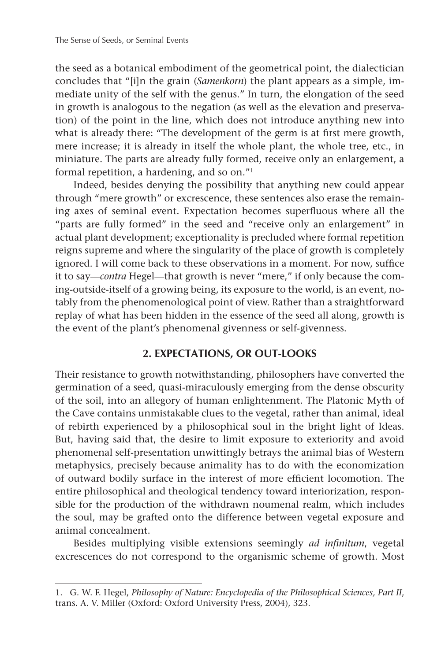the seed as a botanical embodiment of the geometrical point, the dialectician concludes that "[i]n the grain (*Samenkorn*) the plant appears as a simple, immediate unity of the self with the genus." In turn, the elongation of the seed in growth is analogous to the negation (as well as the elevation and preservation) of the point in the line, which does not introduce anything new into what is already there: "The development of the germ is at first mere growth, mere increase; it is already in itself the whole plant, the whole tree, etc., in miniature. The parts are already fully formed, receive only an enlargement, a formal repetition, a hardening, and so on."1

Indeed, besides denying the possibility that anything new could appear through "mere growth" or excrescence, these sentences also erase the remaining axes of seminal event. Expectation becomes superfluous where all the "parts are fully formed" in the seed and "receive only an enlargement" in actual plant development; exceptionality is precluded where formal repetition reigns supreme and where the singularity of the place of growth is completely ignored. I will come back to these observations in a moment. For now, suffice it to say—*contra* Hegel—that growth is never "mere," if only because the coming-outside-itself of a growing being, its exposure to the world, is an event, notably from the phenomenological point of view. Rather than a straightforward replay of what has been hidden in the essence of the seed all along, growth is the event of the plant's phenomenal givenness or self-givenness.

#### **2. EXPECTATIONS, OR OUT-LOOKS**

Their resistance to growth notwithstanding, philosophers have converted the germination of a seed, quasi-miraculously emerging from the dense obscurity of the soil, into an allegory of human enlightenment. The Platonic Myth of the Cave contains unmistakable clues to the vegetal, rather than animal, ideal of rebirth experienced by a philosophical soul in the bright light of Ideas. But, having said that, the desire to limit exposure to exteriority and avoid phenomenal self-presentation unwittingly betrays the animal bias of Western metaphysics, precisely because animality has to do with the economization of outward bodily surface in the interest of more efficient locomotion. The entire philosophical and theological tendency toward interiorization, responsible for the production of the withdrawn noumenal realm, which includes the soul, may be grafted onto the difference between vegetal exposure and animal concealment.

Besides multiplying visible extensions seemingly *ad infinitum*, vegetal excrescences do not correspond to the organismic scheme of growth. Most

<sup>1.</sup> G. W. F. Hegel, *Philosophy of Nature: Encyclopedia of the Philosophical Sciences, Part II*, trans. A. V. Miller (Oxford: Oxford University Press, 2004), 323.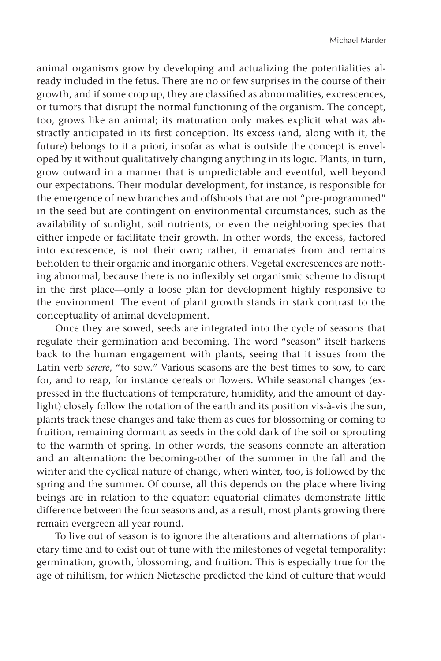animal organisms grow by developing and actualizing the potentialities already included in the fetus. There are no or few surprises in the course of their growth, and if some crop up, they are classified as abnormalities, excrescences, or tumors that disrupt the normal functioning of the organism. The concept, too, grows like an animal; its maturation only makes explicit what was abstractly anticipated in its first conception. Its excess (and, along with it, the future) belongs to it a priori, insofar as what is outside the concept is enveloped by it without qualitatively changing anything in its logic. Plants, in turn, grow outward in a manner that is unpredictable and eventful, well beyond our expectations. Their modular development, for instance, is responsible for the emergence of new branches and offshoots that are not "pre-programmed" in the seed but are contingent on environmental circumstances, such as the availability of sunlight, soil nutrients, or even the neighboring species that either impede or facilitate their growth. In other words, the excess, factored into excrescence, is not their own; rather, it emanates from and remains beholden to their organic and inorganic others. Vegetal excrescences are nothing abnormal, because there is no inflexibly set organismic scheme to disrupt in the first place—only a loose plan for development highly responsive to the environment. The event of plant growth stands in stark contrast to the conceptuality of animal development.

Once they are sowed, seeds are integrated into the cycle of seasons that regulate their germination and becoming. The word "season" itself harkens back to the human engagement with plants, seeing that it issues from the Latin verb *serere*, "to sow." Various seasons are the best times to sow, to care for, and to reap, for instance cereals or flowers. While seasonal changes (expressed in the fluctuations of temperature, humidity, and the amount of daylight) closely follow the rotation of the earth and its position vis-à-vis the sun, plants track these changes and take them as cues for blossoming or coming to fruition, remaining dormant as seeds in the cold dark of the soil or sprouting to the warmth of spring. In other words, the seasons connote an alteration and an alternation: the becoming-other of the summer in the fall and the winter and the cyclical nature of change, when winter, too, is followed by the spring and the summer. Of course, all this depends on the place where living beings are in relation to the equator: equatorial climates demonstrate little difference between the four seasons and, as a result, most plants growing there remain evergreen all year round.

To live out of season is to ignore the alterations and alternations of planetary time and to exist out of tune with the milestones of vegetal temporality: germination, growth, blossoming, and fruition. This is especially true for the age of nihilism, for which Nietzsche predicted the kind of culture that would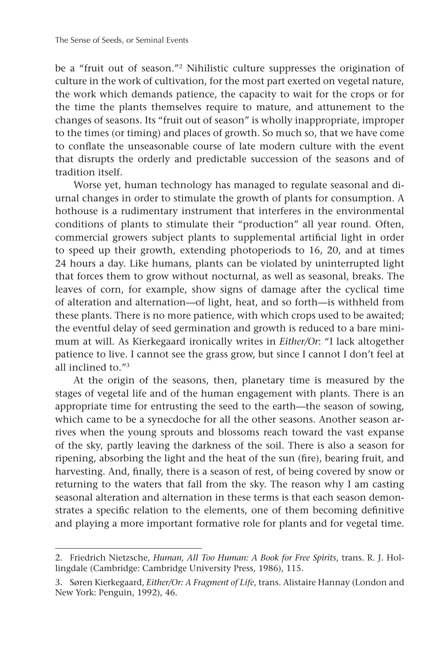be a "fruit out of season."2 Nihilistic culture suppresses the origination of culture in the work of cultivation, for the most part exerted on vegetal nature, the work which demands patience, the capacity to wait for the crops or for the time the plants themselves require to mature, and attunement to the changes of seasons. Its "fruit out of season" is wholly inappropriate, improper to the times (or timing) and places of growth. So much so, that we have come to conflate the unseasonable course of late modern culture with the event that disrupts the orderly and predictable succession of the seasons and of tradition itself.

Worse yet, human technology has managed to regulate seasonal and diurnal changes in order to stimulate the growth of plants for consumption. A hothouse is a rudimentary instrument that interferes in the environmental conditions of plants to stimulate their "production" all year round. Often, commercial growers subject plants to supplemental artificial light in order to speed up their growth, extending photoperiods to 16, 20, and at times 24 hours a day. Like humans, plants can be violated by uninterrupted light that forces them to grow without nocturnal, as well as seasonal, breaks. The leaves of corn, for example, show signs of damage after the cyclical time of alteration and alternation—of light, heat, and so forth—is withheld from these plants. There is no more patience, with which crops used to be awaited; the eventful delay of seed germination and growth is reduced to a bare minimum at will. As Kierkegaard ironically writes in *Either/Or*: "I lack altogether patience to live. I cannot see the grass grow, but since I cannot I don't feel at all inclined to."3

At the origin of the seasons, then, planetary time is measured by the stages of vegetal life and of the human engagement with plants. There is an appropriate time for entrusting the seed to the earth—the season of sowing, which came to be a synecdoche for all the other seasons. Another season arrives when the young sprouts and blossoms reach toward the vast expanse of the sky, partly leaving the darkness of the soil. There is also a season for ripening, absorbing the light and the heat of the sun (fire), bearing fruit, and harvesting. And, finally, there is a season of rest, of being covered by snow or returning to the waters that fall from the sky. The reason why I am casting seasonal alteration and alternation in these terms is that each season demonstrates a specific relation to the elements, one of them becoming definitive and playing a more important formative role for plants and for vegetal time.

<sup>2.</sup> Friedrich Nietzsche, *Human, All Too Human: A Book for Free Spirits*, trans. R. J. Hollingdale (Cambridge: Cambridge University Press, 1986), 115.

<sup>3.</sup> Søren Kierkegaard, *Either/Or: A Fragment of Life*, trans. Alistaire Hannay (London and New York: Penguin, 1992), 46.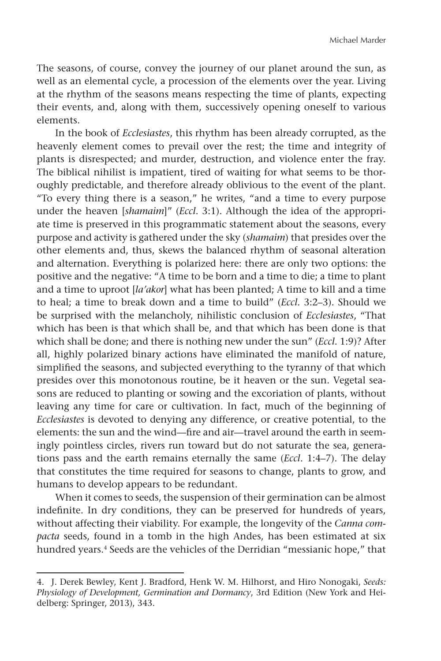The seasons, of course, convey the journey of our planet around the sun, as well as an elemental cycle, a procession of the elements over the year. Living at the rhythm of the seasons means respecting the time of plants, expecting their events, and, along with them, successively opening oneself to various elements.

In the book of *Ecclesiastes*, this rhythm has been already corrupted, as the heavenly element comes to prevail over the rest; the time and integrity of plants is disrespected; and murder, destruction, and violence enter the fray. The biblical nihilist is impatient, tired of waiting for what seems to be thoroughly predictable, and therefore already oblivious to the event of the plant. "To every thing there is a season," he writes, "and a time to every purpose under the heaven [*shamaim*]" (*Eccl*. 3:1). Although the idea of the appropriate time is preserved in this programmatic statement about the seasons, every purpose and activity is gathered under the sky (*shamaim*) that presides over the other elements and, thus, skews the balanced rhythm of seasonal alteration and alternation. Everything is polarized here: there are only two options: the positive and the negative: "A time to be born and a time to die; a time to plant and a time to uproot [*la'akor*] what has been planted; A time to kill and a time to heal; a time to break down and a time to build" (*Eccl.* 3:2–3). Should we be surprised with the melancholy, nihilistic conclusion of *Ecclesiastes*, "That which has been is that which shall be, and that which has been done is that which shall be done; and there is nothing new under the sun" (*Eccl.* 1:9)? After all, highly polarized binary actions have eliminated the manifold of nature, simplified the seasons, and subjected everything to the tyranny of that which presides over this monotonous routine, be it heaven or the sun. Vegetal seasons are reduced to planting or sowing and the excoriation of plants, without leaving any time for care or cultivation. In fact, much of the beginning of *Ecclesiastes* is devoted to denying any difference, or creative potential, to the elements: the sun and the wind—fire and air—travel around the earth in seemingly pointless circles, rivers run toward but do not saturate the sea, generations pass and the earth remains eternally the same (*Eccl*. 1:4–7). The delay that constitutes the time required for seasons to change, plants to grow, and humans to develop appears to be redundant.

When it comes to seeds, the suspension of their germination can be almost indefinite. In dry conditions, they can be preserved for hundreds of years, without affecting their viability. For example, the longevity of the *Canna compacta* seeds, found in a tomb in the high Andes, has been estimated at six hundred years.<sup>4</sup> Seeds are the vehicles of the Derridian "messianic hope," that

<sup>4.</sup> J. Derek Bewley, Kent J. Bradford, Henk W. M. Hilhorst, and Hiro Nonogaki, *Seeds: Physiology of Development, Germination and Dormancy*, 3rd Edition (New York and Heidelberg: Springer, 2013), 343.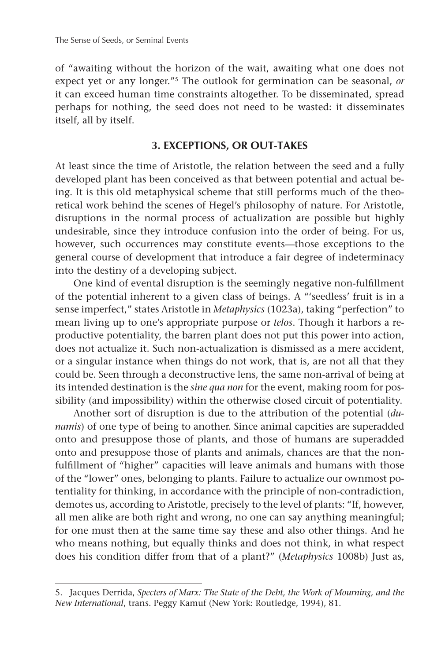of "awaiting without the horizon of the wait, awaiting what one does not expect yet or any longer."<sup>5</sup> The outlook for germination can be seasonal, or it can exceed human time constraints altogether. To be disseminated, spread perhaps for nothing, the seed does not need to be wasted: it disseminates itself, all by itself.

### **3. EXCEPTIONS, OR OUT-TAKES**

At least since the time of Aristotle, the relation between the seed and a fully developed plant has been conceived as that between potential and actual being. It is this old metaphysical scheme that still performs much of the theoretical work behind the scenes of Hegel's philosophy of nature. For Aristotle, disruptions in the normal process of actualization are possible but highly undesirable, since they introduce confusion into the order of being. For us, however, such occurrences may constitute events—those exceptions to the general course of development that introduce a fair degree of indeterminacy into the destiny of a developing subject.

One kind of evental disruption is the seemingly negative non-fulfillment of the potential inherent to a given class of beings. A "'seedless' fruit is in a sense imperfect," states Aristotle in *Metaphysics* (1023a), taking "perfection" to mean living up to one's appropriate purpose or *telos*. Though it harbors a reproductive potentiality, the barren plant does not put this power into action, does not actualize it. Such non-actualization is dismissed as a mere accident, or a singular instance when things do not work, that is, are not all that they could be. Seen through a deconstructive lens, the same non-arrival of being at its intended destination is the *sine qua non* for the event, making room for possibility (and impossibility) within the otherwise closed circuit of potentiality.

Another sort of disruption is due to the attribution of the potential (*dunamis*) of one type of being to another. Since animal capcities are superadded onto and presuppose those of plants, and those of humans are superadded onto and presuppose those of plants and animals, chances are that the nonfulfillment of "higher" capacities will leave animals and humans with those of the "lower" ones, belonging to plants. Failure to actualize our ownmost potentiality for thinking, in accordance with the principle of non-contradiction, demotes us, according to Aristotle, precisely to the level of plants: "If, however, all men alike are both right and wrong, no one can say anything meaningful; for one must then at the same time say these and also other things. And he who means nothing, but equally thinks and does not think, in what respect does his condition differ from that of a plant?" (*Metaphysics* 1008b) Just as,

<sup>5.</sup> Jacques Derrida, *Specters of Marx: The State of the Debt, the Work of Mourning, and the New International*, trans. Peggy Kamuf (New York: Routledge, 1994), 81.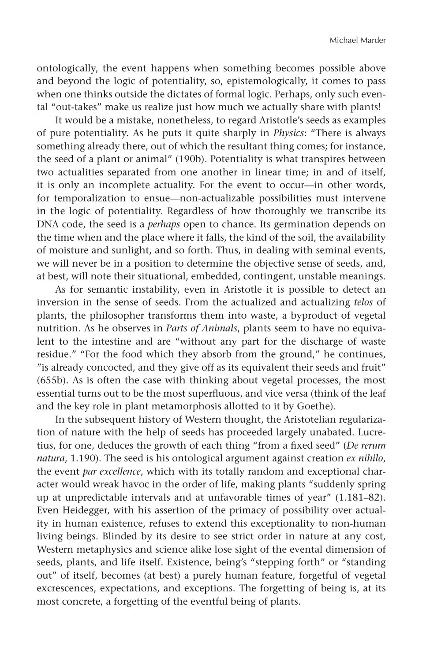ontologically, the event happens when something becomes possible above and beyond the logic of potentiality, so, epistemologically, it comes to pass when one thinks outside the dictates of formal logic. Perhaps, only such evental "out-takes" make us realize just how much we actually share with plants!

It would be a mistake, nonetheless, to regard Aristotle's seeds as examples of pure potentiality. As he puts it quite sharply in *Physics*: "There is always something already there, out of which the resultant thing comes; for instance, the seed of a plant or animal" (190b). Potentiality is what transpires between two actualities separated from one another in linear time; in and of itself, it is only an incomplete actuality. For the event to occur—in other words, for temporalization to ensue—non-actualizable possibilities must intervene in the logic of potentiality. Regardless of how thoroughly we transcribe its DNA code, the seed is a *perhaps* open to chance. Its germination depends on the time when and the place where it falls, the kind of the soil, the availability of moisture and sunlight, and so forth. Thus, in dealing with seminal events, we will never be in a position to determine the objective sense of seeds, and, at best, will note their situational, embedded, contingent, unstable meanings.

As for semantic instability, even in Aristotle it is possible to detect an inversion in the sense of seeds. From the actualized and actualizing *telos* of plants, the philosopher transforms them into waste, a byproduct of vegetal nutrition. As he observes in *Parts of Animals*, plants seem to have no equivalent to the intestine and are "without any part for the discharge of waste residue." "For the food which they absorb from the ground," he continues, "is already concocted, and they give off as its equivalent their seeds and fruit" (655b). As is often the case with thinking about vegetal processes, the most essential turns out to be the most superfluous, and vice versa (think of the leaf and the key role in plant metamorphosis allotted to it by Goethe).

In the subsequent history of Western thought, the Aristotelian regularization of nature with the help of seeds has proceeded largely unabated. Lucretius, for one, deduces the growth of each thing "from a fixed seed" (*De rerum natura*, 1.190). The seed is his ontological argument against creation *ex nihilo*, the event *par excellence*, which with its totally random and exceptional character would wreak havoc in the order of life, making plants "suddenly spring up at unpredictable intervals and at unfavorable times of year" (1.181–82). Even Heidegger, with his assertion of the primacy of possibility over actuality in human existence, refuses to extend this exceptionality to non-human living beings. Blinded by its desire to see strict order in nature at any cost, Western metaphysics and science alike lose sight of the evental dimension of seeds, plants, and life itself. Existence, being's "stepping forth" or "standing out" of itself, becomes (at best) a purely human feature, forgetful of vegetal excrescences, expectations, and exceptions. The forgetting of being is, at its most concrete, a forgetting of the eventful being of plants.